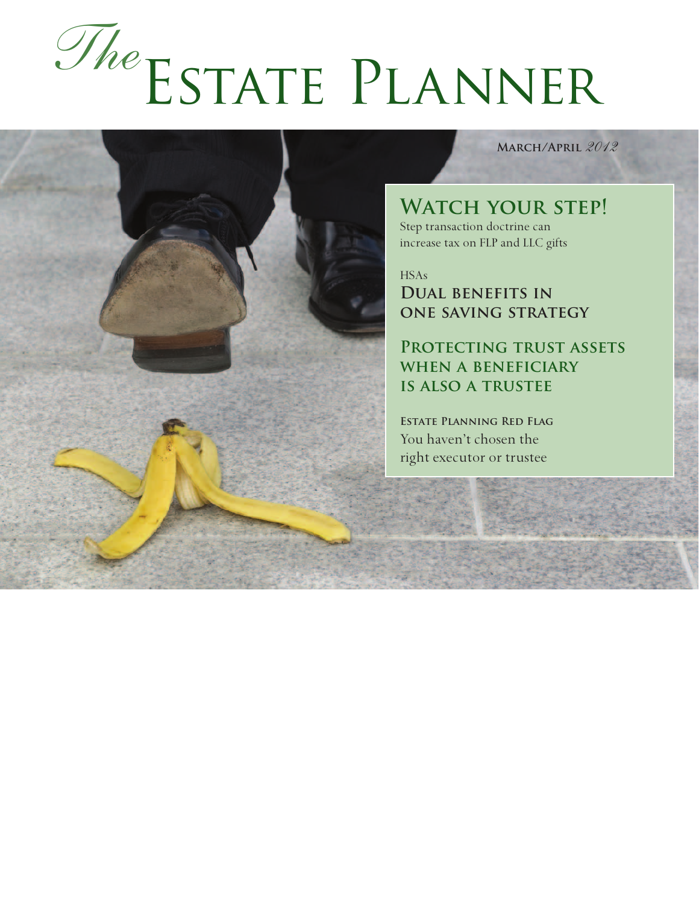# Estate Planner *The*

**March/April** *2012*

## WATCH YOUR STEP!

Step transaction doctrine can increase tax on FLP and LLC gifts

HSAs **Dual benefits in one saving strategy**

**Protecting trust assets when a beneficiary is also a trustee**

**Estate Planning Red Flag** You haven't chosen the right executor or trustee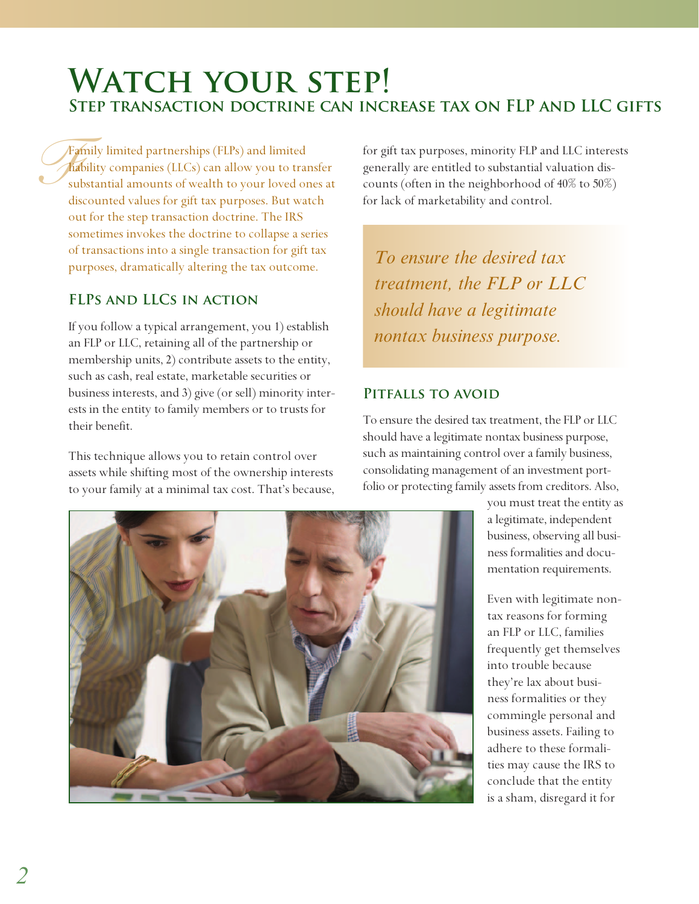# WATCH YOUR STEP! **Step transaction doctrine can increase tax on FLP and LLC gifts**

*Fa*<br>*Fa*<br>su<br>die Family limited partnerships (FLPs) and limited liability companies (LLCs) can allow you to transfer substantial amounts of wealth to your loved ones at discounted values for gift tax purposes. But watch out for the step transaction doctrine. The IRS sometimes invokes the doctrine to collapse a series of transactions into a single transaction for gift tax purposes, dramatically altering the tax outcome.

#### **FLPs and LLCs in action**

If you follow a typical arrangement, you 1) establish an FLP or LLC, retaining all of the partnership or membership units, 2) contribute assets to the entity, such as cash, real estate, marketable securities or business interests, and 3) give (or sell) minority interests in the entity to family members or to trusts for their benefit.

This technique allows you to retain control over assets while shifting most of the ownership interests to your family at a minimal tax cost. That's because, for gift tax purposes, minority FLP and LLC interests generally are entitled to substantial valuation discounts (often in the neighborhood of 40% to 50%) for lack of marketability and control.

*To ensure the desired tax treatment, the FLP or LLC should have a legitimate nontax business purpose.*

#### **Pitfalls to avoid**

To ensure the desired tax treatment, the FLP or LLC should have a legitimate nontax business purpose, such as maintaining control over a family business, consolidating management of an investment portfolio or protecting family assets from creditors. Also,



you must treat the entity as a legitimate, independent business, observing all business formalities and documentation requirements.

Even with legitimate nontax reasons for forming an FLP or LLC, families frequently get themselves into trouble because they're lax about business formalities or they commingle personal and business assets. Failing to adhere to these formalities may cause the IRS to conclude that the entity is a sham, disregard it for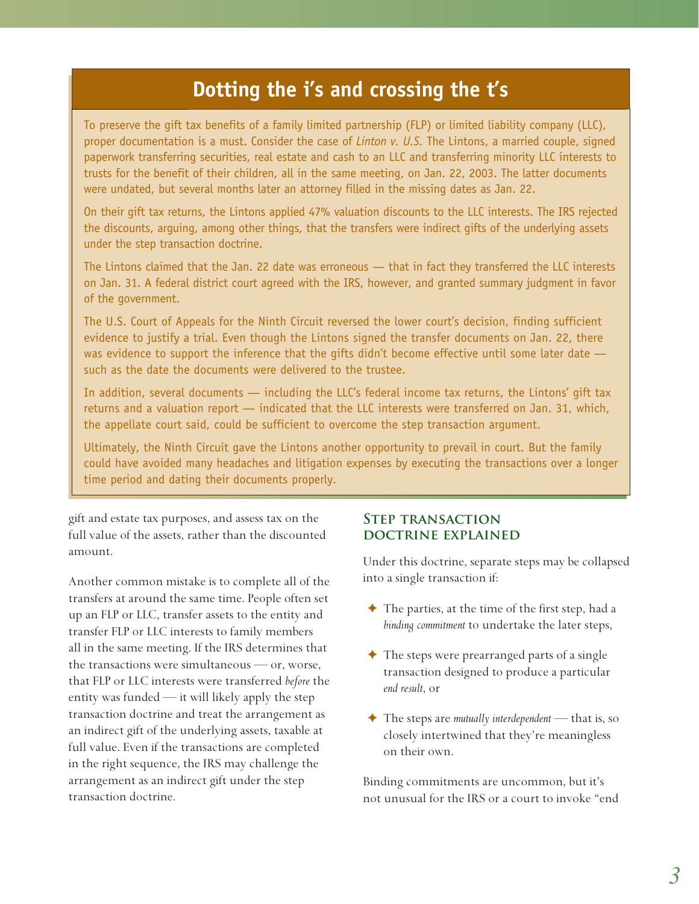### **Dotting the i's and crossing the t's**

To preserve the gift tax benefits of a family limited partnership (FLP) or limited liability company (LLC), proper documentation is a must. Consider the case of *Linton v. U.S.* The Lintons, a married couple, signed paperwork transferring securities, real estate and cash to an LLC and transferring minority LLC interests to trusts for the benefit of their children, all in the same meeting, on Jan. 22, 2003. The latter documents were undated, but several months later an attorney filled in the missing dates as Jan. 22.

On their gift tax returns, the Lintons applied 47% valuation discounts to the LLC interests. The IRS rejected the discounts, arguing, among other things, that the transfers were indirect gifts of the underlying assets under the step transaction doctrine.

The Lintons claimed that the Jan. 22 date was erroneous — that in fact they transferred the LLC interests on Jan. 31. A federal district court agreed with the IRS, however, and granted summary judgment in favor of the government.

The U.S. Court of Appeals for the Ninth Circuit reversed the lower court's decision, finding sufficient evidence to justify a trial. Even though the Lintons signed the transfer documents on Jan. 22, there was evidence to support the inference that the gifts didn't become effective until some later date  $$ such as the date the documents were delivered to the trustee.

In addition, several documents — including the LLC's federal income tax returns, the Lintons' gift tax returns and a valuation report — indicated that the LLC interests were transferred on Jan. 31, which, the appellate court said, could be sufficient to overcome the step transaction argument.

Ultimately, the Ninth Circuit gave the Lintons another opportunity to prevail in court. But the family could have avoided many headaches and litigation expenses by executing the transactions over a longer time period and dating their documents properly.

gift and estate tax purposes, and assess tax on the full value of the assets, rather than the discounted amount.

Another common mistake is to complete all of the transfers at around the same time. People often set up an FLP or LLC, transfer assets to the entity and transfer FLP or LLC interests to family members all in the same meeting. If the IRS determines that the transactions were simultaneous — or, worse, that FLP or LLC interests were transferred *before* the entity was funded — it will likely apply the step transaction doctrine and treat the arrangement as an indirect gift of the underlying assets, taxable at full value. Even if the transactions are completed in the right sequence, the IRS may challenge the arrangement as an indirect gift under the step transaction doctrine.

#### **Step transaction doctrine explained**

Under this doctrine, separate steps may be collapsed into a single transaction if:

- $\triangle$  The parties, at the time of the first step, had a *binding commitment* to undertake the later steps,
- $\triangle$  The steps were prearranged parts of a single transaction designed to produce a particular *end result*, or
- ✦ The steps are *mutually interdependent* that is, so closely intertwined that they're meaningless on their own.

Binding commitments are uncommon, but it's not unusual for the IRS or a court to invoke "end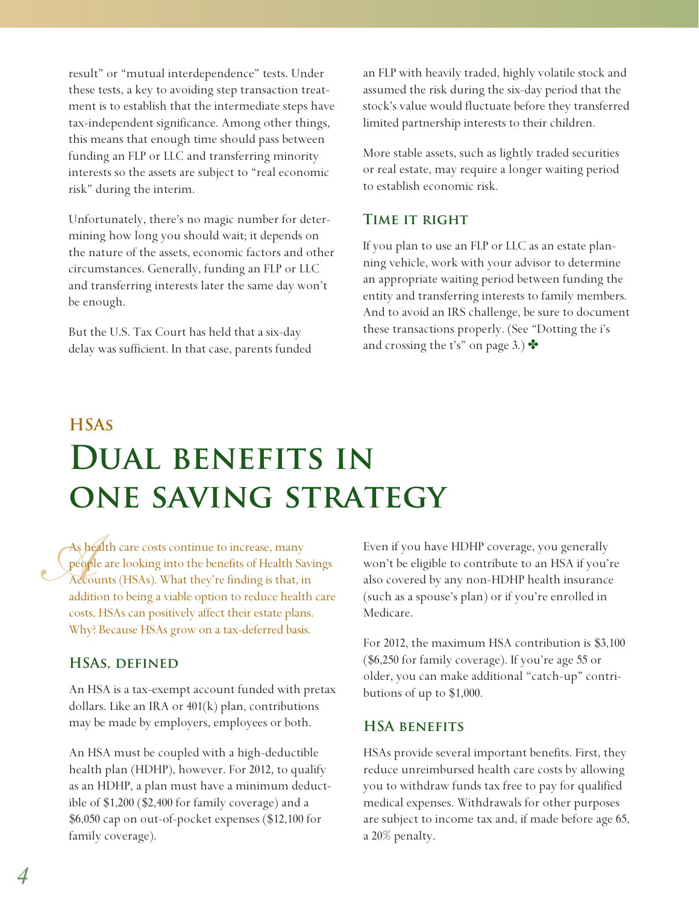result" or "mutual interdependence" tests. Under these tests, a key to avoiding step transaction treatment is to establish that the intermediate steps have tax-independent significance. Among other things, this means that enough time should pass between funding an FLP or LLC and transferring minority interests so the assets are subject to "real economic risk" during the interim.

Unfortunately, there's no magic number for determining how long you should wait; it depends on the nature of the assets, economic factors and other circumstances. Generally, funding an FLP or LLC and transferring interests later the same day won't be enough.

But the U.S. Tax Court has held that a six-day delay was sufficient. In that case, parents funded an FLP with heavily traded, highly volatile stock and assumed the risk during the six-day period that the stock's value would fluctuate before they transferred limited partnership interests to their children.

More stable assets, such as lightly traded securities or real estate, may require a longer waiting period to establish economic risk.

#### **Time it right**

If you plan to use an FLP or LLC as an estate planning vehicle, work with your advisor to determine an appropriate waiting period between funding the entity and transferring interests to family members. And to avoid an IRS challenge, be sure to document these transactions properly. (See "Dotting the i's and crossing the t's" on page 3.)  $\bullet$ 

# **HSAs Dual benefits in one saving strategy**

As health care costs continue to increase, many<br>people are looking into the benefits of Health Sa<br>Accounts (HSAs). What they're finding is that, in<br>addition to being a viable ontion to reduce health people are looking into the benefits of Health Savings Accounts (HSAs). What they're finding is that, in addition to being a viable option to reduce health care costs, HSAs can positively affect their estate plans. Why? Because HSAs grow on a tax-deferred basis.

#### **HSAs, defined**

An HSA is a tax-exempt account funded with pretax dollars. Like an IRA or  $401(k)$  plan, contributions may be made by employers, employees or both.

An HSA must be coupled with a high-deductible health plan (HDHP), however. For 2012, to qualify as an HDHP, a plan must have a minimum deductible of \$1,200 (\$2,400 for family coverage) and a \$6,050 cap on out-of-pocket expenses (\$12,100 for family coverage).

Even if you have HDHP coverage, you generally won't be eligible to contribute to an HSA if you're also covered by any non-HDHP health insurance (such as a spouse's plan) or if you're enrolled in Medicare.

For 2012, the maximum HSA contribution is \$3,100 (\$6,250 for family coverage). If you're age 55 or older, you can make additional "catch-up" contributions of up to \$1,000.

#### **HSA benefits**

HSAs provide several important benefits. First, they reduce unreimbursed health care costs by allowing you to withdraw funds tax free to pay for qualified medical expenses. Withdrawals for other purposes are subject to income tax and, if made before age 65, a 20% penalty.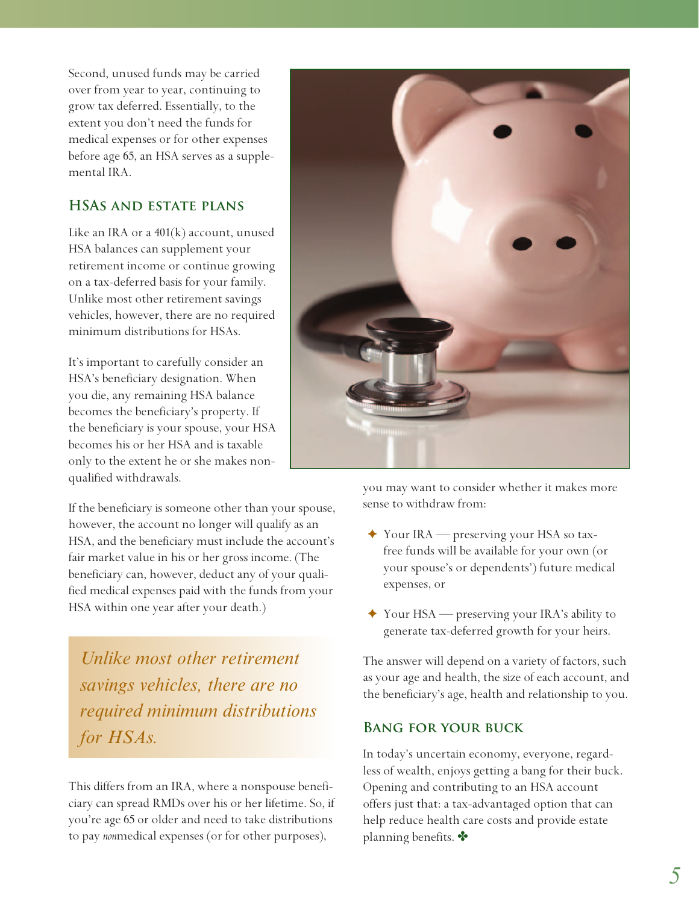Second, unused funds may be carried over from year to year, continuing to grow tax deferred. Essentially, to the extent you don't need the funds for medical expenses or for other expenses before age 65, an HSA serves as a supplemental IRA.

#### **HSAs and estate plans**

Like an IRA or a 401(k) account, unused HSA balances can supplement your retirement income or continue growing on a tax-deferred basis for your family. Unlike most other retirement savings vehicles, however, there are no required minimum distributions for HSAs.

It's important to carefully consider an HSA's beneficiary designation. When you die, any remaining HSA balance becomes the beneficiary's property. If the beneficiary is your spouse, your HSA becomes his or her HSA and is taxable only to the extent he or she makes nonqualified withdrawals.

If the beneficiary is someone other than your spouse, however, the account no longer will qualify as an HSA, and the beneficiary must include the account's fair market value in his or her gross income. (The beneficiary can, however, deduct any of your qualified medical expenses paid with the funds from your HSA within one year after your death.)

*Unlike most other retirement savings vehicles, there are no required minimum distributions for HSAs.*

This differs from an IRA, where a nonspouse beneficiary can spread RMDs over his or her lifetime. So, if you're age 65 or older and need to take distributions to pay *non*medical expenses (or for other purposes),



you may want to consider whether it makes more sense to withdraw from:

- ✦ Your IRA preserving your HSA so taxfree funds will be available for your own (or your spouse's or dependents') future medical expenses, or
- ✦ Your HSA preserving your IRA's ability to generate tax-deferred growth for your heirs.

The answer will depend on a variety of factors, such as your age and health, the size of each account, and the beneficiary's age, health and relationship to you.

#### **Bang for your buck**

In today's uncertain economy, everyone, regardless of wealth, enjoys getting a bang for their buck. Opening and contributing to an HSA account offers just that: a tax-advantaged option that can help reduce health care costs and provide estate planning benefits.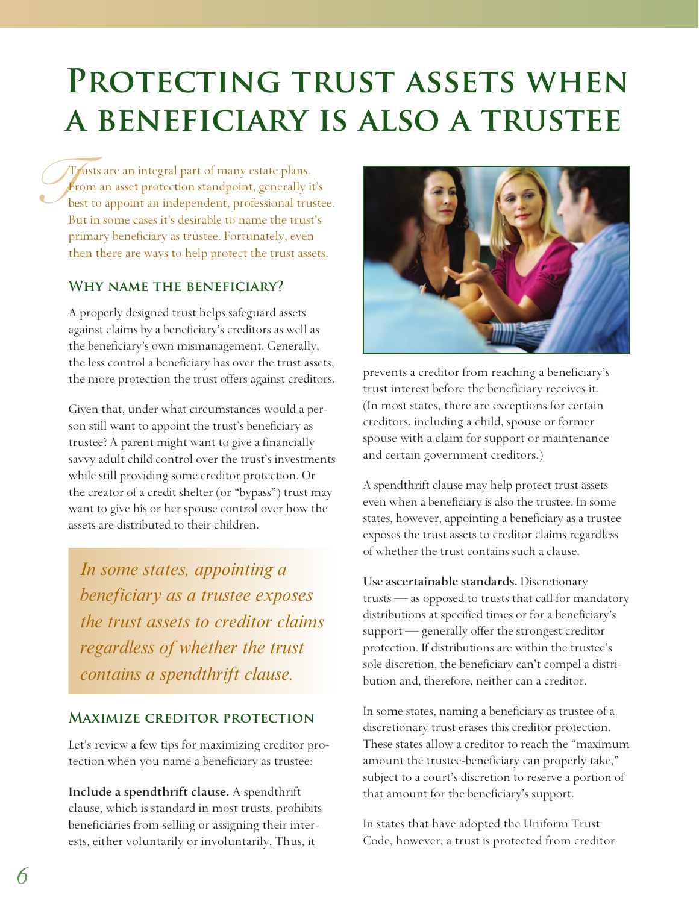# **PROTECTING TRUST ASSETS WHEN a beneficiary is also a trustee**

 $\int_{\text{be}}^{\text{Tr}}$ Trusts are an integral part of many estate plans. From an asset protection standpoint, generally it's best to appoint an independent, professional trustee. But in some cases it's desirable to name the trust's primary beneficiary as trustee. Fortunately, even then there are ways to help protect the trust assets.

#### **Why name the beneficiary?**

A properly designed trust helps safeguard assets against claims by a beneficiary's creditors as well as the beneficiary's own mismanagement. Generally, the less control a beneficiary has over the trust assets, the more protection the trust offers against creditors.

Given that, under what circumstances would a person still want to appoint the trust's beneficiary as trustee? A parent might want to give a financially savvy adult child control over the trust's investments while still providing some creditor protection. Or the creator of a credit shelter (or "bypass") trust may want to give his or her spouse control over how the assets are distributed to their children.

*In some states, appointing a beneficiary as a trustee exposes the trust assets to creditor claims regardless of whether the trust contains a spendthrift clause.*

#### **Maximize creditor protection**

Let's review a few tips for maximizing creditor protection when you name a beneficiary as trustee:

**Include a spendthrift clause.** A spendthrift clause, which is standard in most trusts, prohibits beneficiaries from selling or assigning their interests, either voluntarily or involuntarily. Thus, it



prevents a creditor from reaching a beneficiary's trust interest before the beneficiary receives it. (In most states, there are exceptions for certain creditors, including a child, spouse or former spouse with a claim for support or maintenance and certain government creditors.)

A spendthrift clause may help protect trust assets even when a beneficiary is also the trustee. In some states, however, appointing a beneficiary as a trustee exposes the trust assets to creditor claims regardless of whether the trust contains such a clause.

**Use ascertainable standards.** Discretionary trusts — as opposed to trusts that call for mandatory distributions at specified times or for a beneficiary's support — generally offer the strongest creditor protection. If distributions are within the trustee's sole discretion, the beneficiary can't compel a distribution and, therefore, neither can a creditor.

In some states, naming a beneficiary as trustee of a discretionary trust erases this creditor protection. These states allow a creditor to reach the "maximum amount the trustee-beneficiary can properly take," subject to a court's discretion to reserve a portion of that amount for the beneficiary's support.

In states that have adopted the Uniform Trust Code, however, a trust is protected from creditor